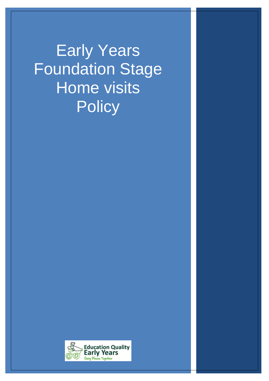Early Years Foundation Stage Home visits **Policy** 

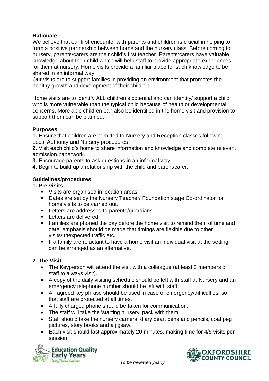## **Rationale**

We believe that our first encounter with parents and children is crucial in helping to form a positive partnership between home and the nursery class. Before coming to nursery, parents/carers are their child's first teacher. Parents/carers have valuable knowledge about their child which will help staff to provide appropriate experiences for them at nursery. Home visits provide a familiar place for such knowledge to be shared in an informal way.

Our visits are to support families in providing an environment that promotes the healthy growth and development of their children.

Home visits are to identify ALL children's potential and can identify/ support a child who is more vulnerable than the typical child because of health or developmental concerns. More able children can also be identified in the home visit and provision to support them can be planned.

## **Purposes**

**1.** Ensure that children are admitted to Nursery and Reception classes following Local Authority and Nursery procedures.

**2.** Visit each child's home to share information and knowledge and complete relevant admission paperwork.

- **3.** Encourage parents to ask questions in an informal way.
- **4.** Begin to build up a relationship with the child and parent/carer.

# **Guidelines/procedures**

#### **1. Pre-visits**

- Visits are organised in location areas.
- Dates are set by the Nursery Teacher/ Foundation stage Co-ordinator for home visits to be carried out.
- **EXECTERE** Letters are addressed to parents/guardians.
- **Letters are delivered**
- **Families are phoned the day before the home visit to remind them of time and** date; emphasis should be made that timings are flexible due to other visits/unexpected traffic etc.
- If a family are reluctant to have a home visit an individual visit at the setting can be arranged as an alternative.

## **2. The Visit**

- The Keyperson will attend the visit with a colleague (at least 2 members of staff to always visit).
- A copy of the daily visiting schedule should be left with staff at Nursery and an emergency telephone number should be left with staff.
- An agreed key phrase should be used in case of emergency/difficulties, so that staff are protected at all times.
- A fully charged phone should be taken for communication.
- The staff will take the 'starting nursery' pack with them.
- Staff should take the nursery camera, diary bear, pens and pencils, coat peg pictures, story books and a jigsaw.
- Each visit should last approximately 20 minutes, making time for 4/5 visits per session.





 *To be reviewed yearly*